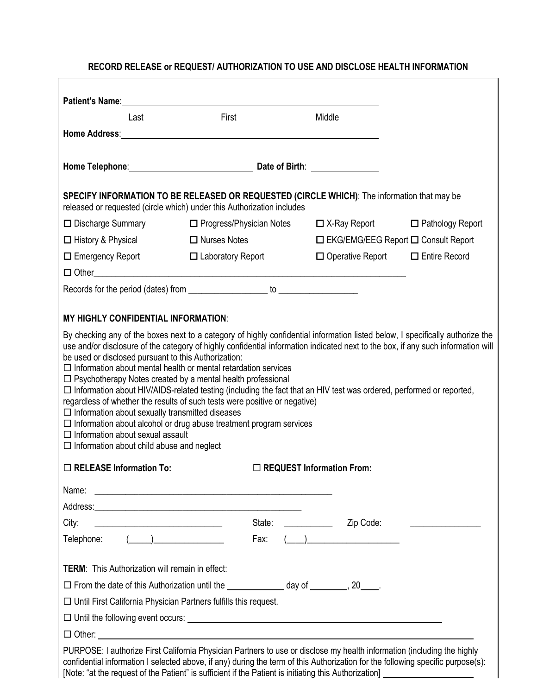## **RECORD RELEASE or REQUEST/ AUTHORIZATION TO USE AND DISCLOSE HEALTH INFORMATION**

| Patient's Name: Name: Name: Name: Name: Name: Name: Name: Name: Name: Name: Name: Name: Name: Name: Name: Name: Name: Name: Name: Name: Name: Name: Name: Name: Name: Name: Name: Name: Name: Name: Name: Name: Name: Name: Na                                                                                                                                                                                                                                                                                                                                                                                                                                                                                                                                                       |                                                                                                                       |  |                                                    |                                                 |
|--------------------------------------------------------------------------------------------------------------------------------------------------------------------------------------------------------------------------------------------------------------------------------------------------------------------------------------------------------------------------------------------------------------------------------------------------------------------------------------------------------------------------------------------------------------------------------------------------------------------------------------------------------------------------------------------------------------------------------------------------------------------------------------|-----------------------------------------------------------------------------------------------------------------------|--|----------------------------------------------------|-------------------------------------------------|
| Last                                                                                                                                                                                                                                                                                                                                                                                                                                                                                                                                                                                                                                                                                                                                                                                 | First                                                                                                                 |  | Middle                                             |                                                 |
|                                                                                                                                                                                                                                                                                                                                                                                                                                                                                                                                                                                                                                                                                                                                                                                      |                                                                                                                       |  |                                                    |                                                 |
|                                                                                                                                                                                                                                                                                                                                                                                                                                                                                                                                                                                                                                                                                                                                                                                      |                                                                                                                       |  |                                                    |                                                 |
| SPECIFY INFORMATION TO BE RELEASED OR REQUESTED (CIRCLE WHICH): The information that may be<br>released or requested (circle which) under this Authorization includes                                                                                                                                                                                                                                                                                                                                                                                                                                                                                                                                                                                                                |                                                                                                                       |  |                                                    |                                                 |
| $\Box$ Discharge Summary                                                                                                                                                                                                                                                                                                                                                                                                                                                                                                                                                                                                                                                                                                                                                             | $\Box$ Progress/Physician Notes $\Box$ X-Ray Report $\Box$ Pathology Report                                           |  |                                                    |                                                 |
| □ History & Physical                                                                                                                                                                                                                                                                                                                                                                                                                                                                                                                                                                                                                                                                                                                                                                 | $\Box$ Nurses Notes                                                                                                   |  |                                                    | $\Box$ EKG/EMG/EEG Report $\Box$ Consult Report |
| $\Box$ Emergency Report                                                                                                                                                                                                                                                                                                                                                                                                                                                                                                                                                                                                                                                                                                                                                              | $\Box$ Laboratory Report                                                                                              |  | $\Box$ Operative Report $\Box$ Entire Record       |                                                 |
|                                                                                                                                                                                                                                                                                                                                                                                                                                                                                                                                                                                                                                                                                                                                                                                      |                                                                                                                       |  |                                                    |                                                 |
|                                                                                                                                                                                                                                                                                                                                                                                                                                                                                                                                                                                                                                                                                                                                                                                      |                                                                                                                       |  |                                                    |                                                 |
|                                                                                                                                                                                                                                                                                                                                                                                                                                                                                                                                                                                                                                                                                                                                                                                      |                                                                                                                       |  |                                                    |                                                 |
| <b>MY HIGHLY CONFIDENTIAL INFORMATION:</b>                                                                                                                                                                                                                                                                                                                                                                                                                                                                                                                                                                                                                                                                                                                                           |                                                                                                                       |  |                                                    |                                                 |
| use and/or disclosure of the category of highly confidential information indicated next to the box, if any such information will<br>be used or disclosed pursuant to this Authorization:<br>$\Box$ Information about mental health or mental retardation services<br>$\Box$ Psychotherapy Notes created by a mental health professional<br>□ Information about HIV/AIDS-related testing (including the fact that an HIV test was ordered, performed or reported,<br>regardless of whether the results of such tests were positive or negative)<br>$\Box$ Information about sexually transmitted diseases<br>$\Box$ Information about alcohol or drug abuse treatment program services<br>$\Box$ Information about sexual assault<br>$\Box$ Information about child abuse and neglect |                                                                                                                       |  |                                                    |                                                 |
| $\Box$ RELEASE Information To:<br>$\Box$ REQUEST Information From:                                                                                                                                                                                                                                                                                                                                                                                                                                                                                                                                                                                                                                                                                                                   |                                                                                                                       |  |                                                    |                                                 |
| Name:                                                                                                                                                                                                                                                                                                                                                                                                                                                                                                                                                                                                                                                                                                                                                                                | <u> 1989 - Johann Harry Harry Harry Harry Harry Harry Harry Harry Harry Harry Harry Harry Harry Harry Harry Harry</u> |  |                                                    |                                                 |
| City:                                                                                                                                                                                                                                                                                                                                                                                                                                                                                                                                                                                                                                                                                                                                                                                | State:                                                                                                                |  | Zip Code:                                          |                                                 |
| Telephone:                                                                                                                                                                                                                                                                                                                                                                                                                                                                                                                                                                                                                                                                                                                                                                           | Fax:                                                                                                                  |  | $\left(\begin{array}{cc} 0 & 0 \end{array}\right)$ |                                                 |
| <b>TERM:</b> This Authorization will remain in effect:                                                                                                                                                                                                                                                                                                                                                                                                                                                                                                                                                                                                                                                                                                                               |                                                                                                                       |  |                                                    |                                                 |
| □ From the date of this Authorization until the _______________ day of ________, 20____.                                                                                                                                                                                                                                                                                                                                                                                                                                                                                                                                                                                                                                                                                             |                                                                                                                       |  |                                                    |                                                 |
| $\Box$ Until First California Physician Partners fulfills this request.                                                                                                                                                                                                                                                                                                                                                                                                                                                                                                                                                                                                                                                                                                              |                                                                                                                       |  |                                                    |                                                 |
| $\square$ Until the following event occurs: $\square$                                                                                                                                                                                                                                                                                                                                                                                                                                                                                                                                                                                                                                                                                                                                |                                                                                                                       |  |                                                    |                                                 |
| $\Box$ Other: $\Box$                                                                                                                                                                                                                                                                                                                                                                                                                                                                                                                                                                                                                                                                                                                                                                 |                                                                                                                       |  |                                                    |                                                 |
| PURPOSE: I authorize First California Physician Partners to use or disclose my health information (including the highly<br>confidential information I selected above, if any) during the term of this Authorization for the following specific purpose(s):                                                                                                                                                                                                                                                                                                                                                                                                                                                                                                                           |                                                                                                                       |  |                                                    |                                                 |

[Note: "at the request of the Patient" is sufficient if the Patient is initiating this Authorization]